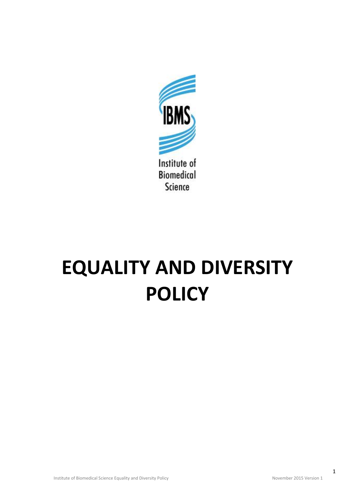

## **EQUALITY AND DIVERSITY POLICY**

1